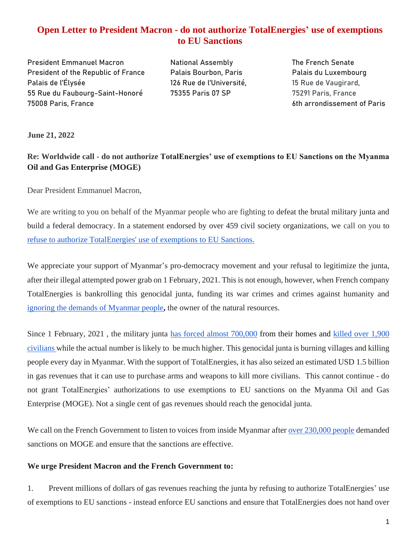# **Open Letter to President Macron - do not authorize TotalEnergies' use of exemptions to EU Sanctions**

**President Emmanuel Macron National Assembly The French Senate** President of the Republic of France Palais Bourbon, Paris Palais du Luxembourg Palais de l'Élysée 126 Rue de l'Université, 15 Rue de Vaugirard, 55 Rue du Faubourg-Saint-Honoré 75355 Paris 07 SP 75291 Paris, France 75008 Paris, France 6th arrondissement of Paris

**June 21, 2022**

**Re: Worldwide call - do not authorize TotalEnergies' use of exemptions to EU Sanctions on the Myanma Oil and Gas Enterprise (MOGE)**

Dear President Emmanuel Macron,

We are writing to you on behalf of the Myanmar people who are fighting to defeat the brutal military junta and build a federal democracy. In a statement endorsed by over 459 civil society organizations, we call on you to refuse to [authorize TotalEnergies' use of exemptions to EU Sanctions.](https://globalmayday.net/bloodmoneymyanmar/news/)

We appreciate your support of Myanmar's pro-democracy movement and your refusal to legitimize the junta, after their illegal attempted power grab on 1 February, 2021. This is not enough, however, when French company TotalEnergies is bankrolling this genocidal junta, funding its war crimes and crimes against humanity and [ignoring the demands of Myanmar people](https://bit.ly/totalpetition)**,** the owner of the natural resources.

Since 1 February, 2021 , the military junta [has forced almost 700,000](https://reliefweb.int/report/myanmar/myanmar-humanitarian-update-no-18-31-may-2022) from their homes and [killed over 1,900](https://coup.aappb.org/?fbclid=IwAR3b6pix19SMO0NAYmUvZZdU6EIIwg3sdYZWBcKwf9D3Nrb7ZrbCZG7C0zM)  [civilians w](https://coup.aappb.org/?fbclid=IwAR3b6pix19SMO0NAYmUvZZdU6EIIwg3sdYZWBcKwf9D3Nrb7ZrbCZG7C0zM)hile the actual number is likely to be much higher. This genocidal junta is burning villages and killing people every day in Myanmar. With the support of TotalEnergies, it has also seized an estimated USD 1.5 billion in gas revenues that it can use to purchase arms and weapons to kill more civilians. This cannot continue - do not grant TotalEnergies' authorizations to use exemptions to EU sanctions on the Myanma Oil and Gas Enterprise (MOGE). Not a single cent of gas revenues should reach the genocidal junta.

We call on the French Government to listen to voices from inside Myanmar after [over 230,000 people](https://bit.ly/oilgasmyanmar) demanded sanctions on MOGE and ensure that the sanctions are effective.

#### **We urge President Macron and the French Government to:**

1. Prevent millions of dollars of gas revenues reaching the junta by refusing to authorize TotalEnergies' use of exemptions to EU sanctions - instead enforce EU sanctions and ensure that TotalEnergies does not hand over